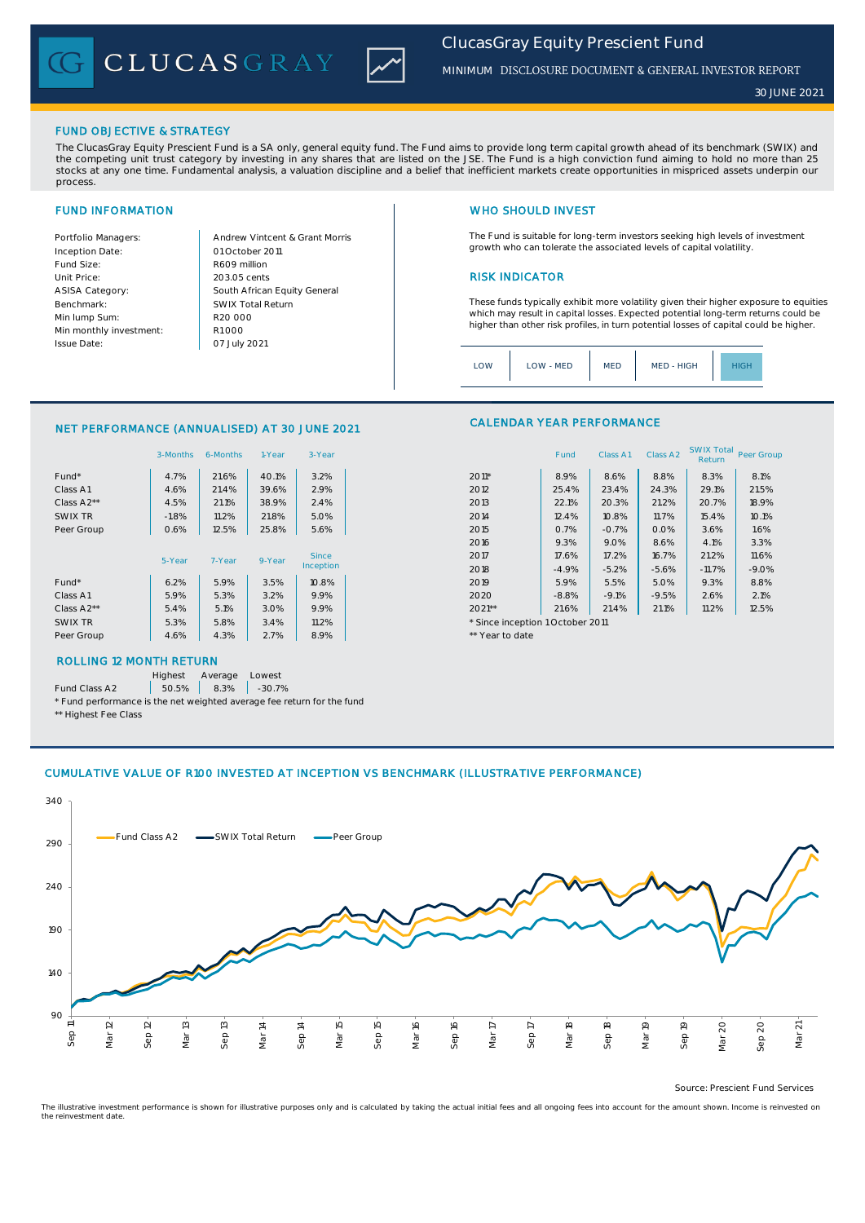CLUCASGRAY



# *ClucasGray Equity Prescient Fund*

*MINIMUM* DISCLOSURE DOCUMENT & GENERAL INVESTOR REPORT

#### FUND OBJECTIVE & STRATEGY

The ClucasGray Equity Prescient Fund is a SA only, general equity fund. The Fund aims to provide long term capital growth ahead of its benchmark (SWIX) and<br>the competing unit trust category by investing in any shares that stocks at any one time. Fundamental analysis, a valuation discipline and a belief that inefficient markets create opportunities in mispriced assets underpin our process.

Inception Date: Fund Size: R609 million ASISA Category: Benchmark: Min lump Sum: Min monthly investment: Issue Date:

Portfolio Managers: <br>Andrew Vintcent & Grant Morris Unit Price: RISK INDICATOR South African Equity General 203.05 cents R1 000 01 October 2011 07 July 2021 R20 000 SWIX Total Return

# FUND INFORMATION NETWORK IN THE SERVICE OF THE SERVICE OF THE WHO SHOULD INVEST

The Fund is suitable for long-term investors seeking high levels of investment growth who can tolerate the associated levels of capital volatility.

These funds typically exhibit more volatility given their higher exposure to equities which may result in capital losses. Expected potential long-term returns could be higher than other risk profiles, in turn potential losses of capital could be higher.

Class A1 Class A2 SWIX Total Return Peer Group

| MED - HIGH<br>LOW<br><b>MED</b><br>LOW - MED<br>HIGH |
|------------------------------------------------------|
|------------------------------------------------------|

CALENDAR YEAR PERFORMANCE

#### NET PERFORMANCE (ANNUALISED) AT 30 JUNE 2021

|            | 3-Months | 6-Months | 1-Year | 3-Year       |                                  | Fund    | Class A1 | Class A <sub>2</sub> | <b>SWIX Total</b><br>Return | Peer Gro |
|------------|----------|----------|--------|--------------|----------------------------------|---------|----------|----------------------|-----------------------------|----------|
| Fund*      | 4.7%     | 21.6%    | 40.1%  | 3.2%         | $2011*$                          | 8.9%    | 8.6%     | 8.8%                 | 8.3%                        | 8.1%     |
| Class A1   | 4.6%     | 21.4%    | 39.6%  | 2.9%         | 2012                             | 25.4%   | 23.4%    | 24.3%                | 29.1%                       | 21.5%    |
| Class A2** | 4.5%     | 21.1%    | 38.9%  | 2.4%         | 2013                             | 22.1%   | 20.3%    | 21.2%                | 20.7%                       | 18.9%    |
| SWIX TR    | $-1.8%$  | 11.2%    | 21.8%  | 5.0%         | 2014                             | 12.4%   | 10.8%    | 11.7%                | 15.4%                       | 10.1%    |
| Peer Group | 0.6%     | 12.5%    | 25.8%  | 5.6%         | 2015                             | 0.7%    | $-0.7%$  | 0.0%                 | 3.6%                        | 1.6%     |
|            |          |          |        |              | 2016                             | 9.3%    | 9.0%     | 8.6%                 | 4.1%                        | 3.3%     |
|            | 5-Year   | 7-Year   | 9-Year | <b>Since</b> | 2017                             | 17.6%   | 17.2%    | 16.7%                | 21.2%                       | 11.6%    |
|            |          |          |        | Inception    | 2018                             | $-4.9%$ | $-5.2%$  | $-5.6%$              | $-11.7%$                    | $-9.0%$  |
| Fund*      | 6.2%     | 5.9%     | 3.5%   | 10.8%        | 2019                             | 5.9%    | 5.5%     | 5.0%                 | 9.3%                        | 8.8%     |
| Class A1   | 5.9%     | 5.3%     | 3.2%   | 9.9%         | 2020                             | $-8.8%$ | $-9.1%$  | $-9.5%$              | 2.6%                        | 2.1%     |
| Class A2** | 5.4%     | 5.1%     | 3.0%   | 9.9%         | $2021**$                         | 21.6%   | 21.4%    | 21.1%                | 11.2%                       | 12.5%    |
| SWIX TR    | 5.3%     | 5.8%     | 3.4%   | 11.2%        | * Since inception 1 October 2011 |         |          |                      |                             |          |
| Peer Group | 4.6%     | 4.3%     | 2.7%   | 8.9%         | ** Year to date                  |         |          |                      |                             |          |
|            |          |          |        |              |                                  |         |          |                      |                             |          |

## ROLLING 12 MONTH RETURN

Highest Average Lowest

Fund Class A2  $\begin{array}{|c|c|c|c|c|} \hline \text{50.5\%} & \text{8.3\%} & \text{-30.7\%} \hline \end{array}$ 

\* Fund performance is the net weighted average fee return for the fund

### \*\* Highest Fee Class

### CUMULATIVE VALUE OF R100 INVESTED AT INCEPTION VS BENCHMARK (ILLUSTRATIVE PERFORMANCE)



Source: Prescient Fund Services

The illustrative investment performance is shown for illustrative purposes only and is calculated by taking the actual initial fees and all ongoing fees into account for the amount shown. Income is reinvested on the reinvestment date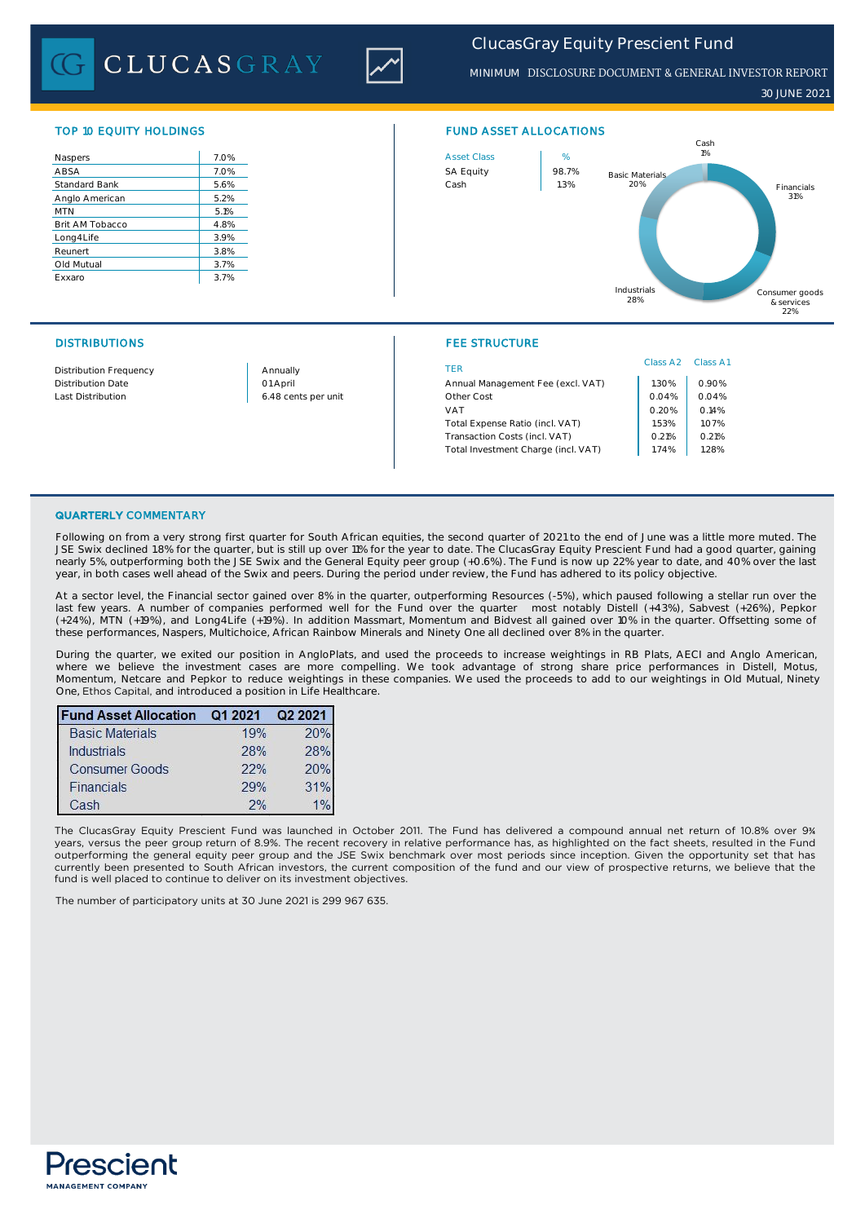**CLUCASGRAY** 



*ClucasGray Equity Prescient Fund*

*MINIMUM* DISCLOSURE DOCUMENT & GENERAL INVESTOR REPORT

*30 JUNE 2021*

| Naspers              | 7.0% |
|----------------------|------|
| ABSA                 | 7.0% |
| <b>Standard Bank</b> | 5.6% |
| Anglo American       | 5.2% |
| <b>MTN</b>           | 5.1% |
| Brit AM Tobacco      | 4.8% |
| Long4Life            | 3.9% |
| Reunert              | 3.8% |
| Old Mutual           | 3.7% |
| Exxaro               | 3.7% |
|                      |      |



### DISTRIBUTIONS FEE STRUCTURE

| <b>Distribution Frequency</b> | Annually            | TER                                 | Class A2 | Class A1 |
|-------------------------------|---------------------|-------------------------------------|----------|----------|
| <b>Distribution Date</b>      | 01 April            | Annual Management Fee (excl. VAT)   | .30%     | 0.90%    |
| Last Distribution             | 6.48 cents per unit | Other Cost                          | 0.04%    | 0.04%    |
|                               |                     | VAT                                 | 0.20%    | 0.14%    |
|                               |                     | Total Expense Ratio (incl. VAT)     | .53%     | 1.07%    |
|                               |                     | Transaction Costs (incl. VAT)       | 0.21%    | 0.21%    |
|                               |                     | Total Investment Charge (incl. VAT) | 1.74%    | 1.28%    |
|                               |                     |                                     |          |          |

#### QUARTERLY COMMENTARY

Following on from a very strong first quarter for South African equities, the second quarter of 2021 to the end of June was a little more muted. The JSE Swix declined 1.8% for the quarter, but is still up over 11% for the year to date. The ClucasGray Equity Prescient Fund had a good quarter, gaining nearly 5%, outperforming both the JSE Swix and the General Equity peer group (+0.6%). The Fund is now up 22% year to date, and 40% over the last year, in both cases well ahead of the Swix and peers. During the period under review, the Fund has adhered to its policy objective.

At a sector level, the Financial sector gained over 8% in the quarter, outperforming Resources (-5%), which paused following a stellar run over the last few years. A number of companies performed well for the Fund over the quarter most notably Distell (+43%), Sabvest (+26%), Pepkor (+24%), MTN (+19%), and Long4Life (+19%). In addition Massmart, Momentum and Bidvest all gained over 10% in the quarter. Offsetting some of these performances, Naspers, Multichoice, African Rainbow Minerals and Ninety One all declined over 8% in the quarter.

During the quarter, we exited our position in AngloPlats, and used the proceeds to increase weightings in RB Plats, AECI and Anglo American, where we believe the investment cases are more compelling. We took advantage of strong share price performances in Distell, Motus, Momentum, Netcare and Pepkor to reduce weightings in these companies. We used the proceeds to add to our weightings in Old Mutual, Ninety One, Ethos Capital, and introduced a position in Life Healthcare.

| <b>Fund Asset Allocation</b> | Q1 2021 | Q2 2021 |  |
|------------------------------|---------|---------|--|
| <b>Basic Materials</b>       | 19%     | 20%     |  |
| Industrials                  | 28%     | 28%     |  |
| <b>Consumer Goods</b>        | 22%     | 20%     |  |
| Financials                   | 29%     | 31%     |  |
| Cash                         | 2%      |         |  |

The ClucasGray Equity Prescient Fund was launched in October 2011. The Fund has delivered a compound annual net return of 10.8% over 9¾ years, versus the peer group return of 8.9%. The recent recovery in relative performance has, as highlighted on the fact sheets, resulted in the Fund outperforming the general equity peer group and the JSE Swix benchmark over most periods since inception. Given the opportunity set that has currently been presented to South African investors, the current composition of the fund and our view of prospective returns, we believe that the fund is well placed to continue to deliver on its investment objectives.

The number of participatory units at 30 June 2021 is 299 967 635.